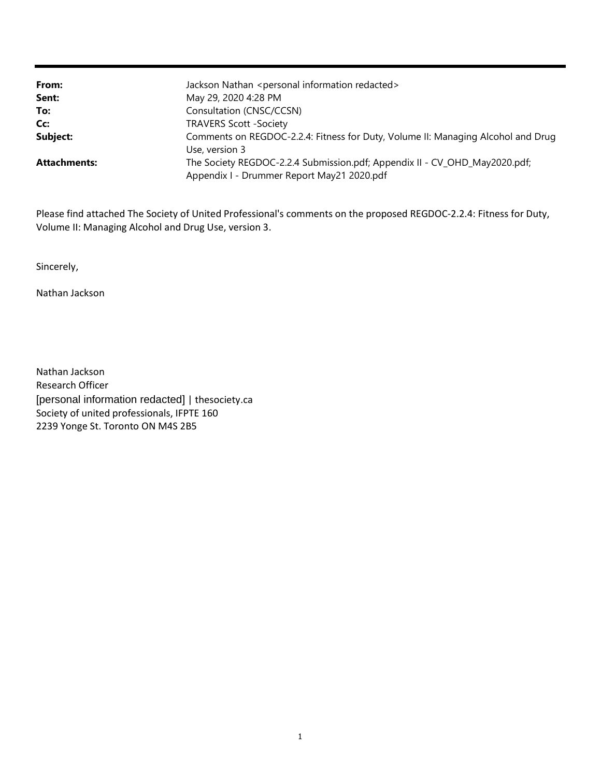| From:               | Jackson Nathan <personal information="" redacted=""></personal>                  |
|---------------------|----------------------------------------------------------------------------------|
| Sent:               | May 29, 2020 4:28 PM                                                             |
| To:                 | Consultation (CNSC/CCSN)                                                         |
| Cc:                 | <b>TRAVERS Scott -Society</b>                                                    |
| Subject:            | Comments on REGDOC-2.2.4: Fitness for Duty, Volume II: Managing Alcohol and Drug |
|                     | Use, version 3                                                                   |
| <b>Attachments:</b> | The Society REGDOC-2.2.4 Submission.pdf; Appendix II - CV_OHD_May2020.pdf;       |
|                     | Appendix I - Drummer Report May21 2020.pdf                                       |

Please find attached The Society of United Professional's comments on the proposed REGDOC-2.2.4: Fitness for Duty, Volume II: Managing Alcohol and Drug Use, version 3.

Sincerely,

Nathan Jackson

2239 Yonge St. Toronto ON M4S 2B5 Society of united professionals, IFPTE 160 [personal information redacted] | thesociety.ca Research Officer Nathan Jackson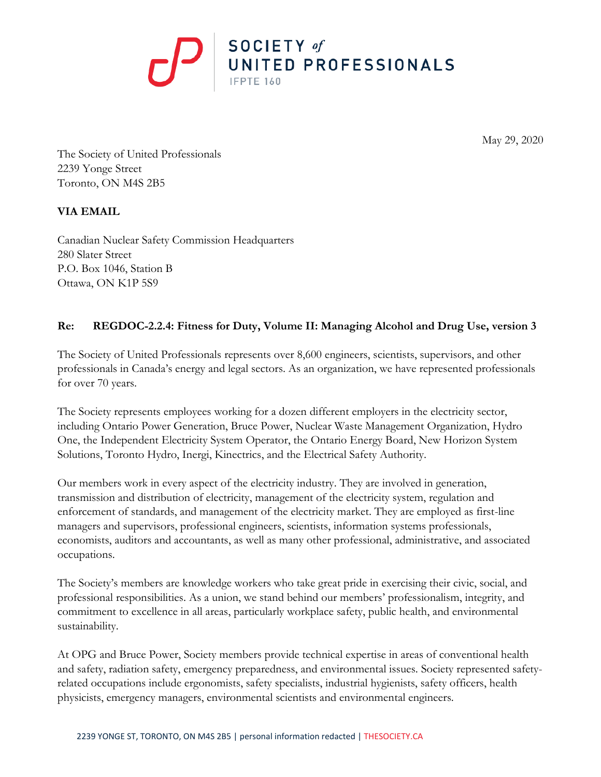

May 29, 2020

The Society of United Professionals 2239 Yonge Street Toronto, ON M4S 2B5

## **VIA EMAIL**

Canadian Nuclear Safety Commission Headquarters 280 Slater Street P.O. Box 1046, Station B Ottawa, ON K1P 5S9

## **Re: REGDOC-2.2.4: Fitness for Duty, Volume II: Managing Alcohol and Drug Use, version 3**

The Society of United Professionals represents over 8,600 engineers, scientists, supervisors, and other professionals in Canada's energy and legal sectors. As an organization, we have represented professionals for over 70 years.

The Society represents employees working for a dozen different employers in the electricity sector, including Ontario Power Generation, Bruce Power, Nuclear Waste Management Organization, Hydro One, the Independent Electricity System Operator, the Ontario Energy Board, New Horizon System Solutions, Toronto Hydro, Inergi, Kinectrics, and the Electrical Safety Authority.

Our members work in every aspect of the electricity industry. They are involved in generation, transmission and distribution of electricity, management of the electricity system, regulation and enforcement of standards, and management of the electricity market. They are employed as first-line managers and supervisors, professional engineers, scientists, information systems professionals, economists, auditors and accountants, as well as many other professional, administrative, and associated occupations.

The Society's members are knowledge workers who take great pride in exercising their civic, social, and professional responsibilities. As a union, we stand behind our members' professionalism, integrity, and commitment to excellence in all areas, particularly workplace safety, public health, and environmental sustainability.

At OPG and Bruce Power, Society members provide technical expertise in areas of conventional health and safety, radiation safety, emergency preparedness, and environmental issues. Society represented safetyrelated occupations include ergonomists, safety specialists, industrial hygienists, safety officers, health physicists, emergency managers, environmental scientists and environmental engineers.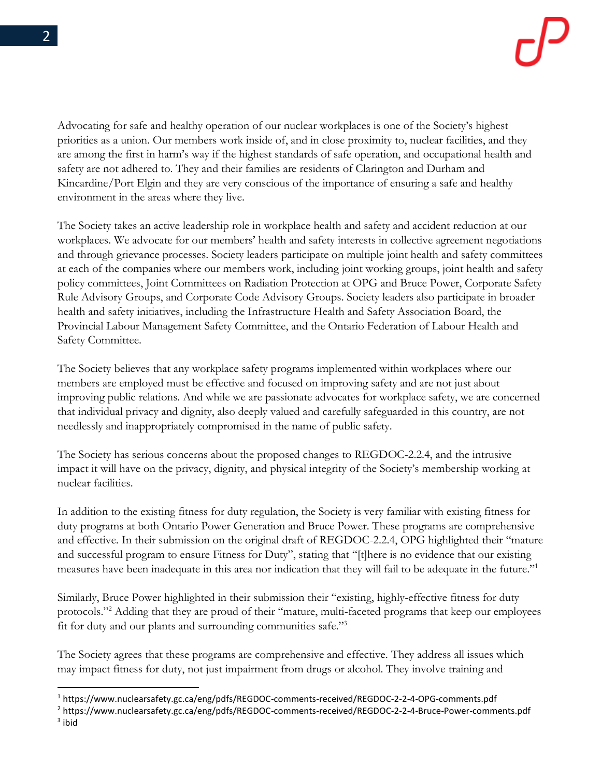Advocating for safe and healthy operation of our nuclear workplaces is one of the Society's highest priorities as a union. Our members work inside of, and in close proximity to, nuclear facilities, and they are among the first in harm's way if the highest standards of safe operation, and occupational health and safety are not adhered to. They and their families are residents of Clarington and Durham and Kincardine/Port Elgin and they are very conscious of the importance of ensuring a safe and healthy environment in the areas where they live.

The Society takes an active leadership role in workplace health and safety and accident reduction at our workplaces. We advocate for our members' health and safety interests in collective agreement negotiations and through grievance processes. Society leaders participate on multiple joint health and safety committees at each of the companies where our members work, including joint working groups, joint health and safety policy committees, Joint Committees on Radiation Protection at OPG and Bruce Power, Corporate Safety Rule Advisory Groups, and Corporate Code Advisory Groups. Society leaders also participate in broader health and safety initiatives, including the Infrastructure Health and Safety Association Board, the Provincial Labour Management Safety Committee, and the Ontario Federation of Labour Health and Safety Committee.

The Society believes that any workplace safety programs implemented within workplaces where our members are employed must be effective and focused on improving safety and are not just about improving public relations. And while we are passionate advocates for workplace safety, we are concerned that individual privacy and dignity, also deeply valued and carefully safeguarded in this country, are not needlessly and inappropriately compromised in the name of public safety.

The Society has serious concerns about the proposed changes to REGDOC-2.2.4, and the intrusive impact it will have on the privacy, dignity, and physical integrity of the Society's membership working at nuclear facilities.

In addition to the existing fitness for duty regulation, the Society is very familiar with existing fitness for duty programs at both Ontario Power Generation and Bruce Power. These programs are comprehensive and effective. In their submission on the original draft of REGDOC-2.2.4, OPG highlighted their "mature and successful program to ensure Fitness for Duty", stating that "[t]here is no evidence that our existing measures have been inadequate in this area nor indication that they will fail to be adequate in the future."<sup>1</sup>

Similarly, Bruce Power highlighted in their submission their "existing, highly-effective fitness for duty protocols."<sup>2</sup> Adding that they are proud of their "mature, multi-faceted programs that keep our employees fit for duty and our plants and surrounding communities safe."<sup>3</sup>

The Society agrees that these programs are comprehensive and effective. They address all issues which may impact fitness for duty, not just impairment from drugs or alcohol. They involve training and

<sup>1</sup> https://www.nuclearsafety.gc.ca/eng/pdfs/REGDOC-comments-received/REGDOC-2-2-4-OPG-comments.pdf

<sup>2</sup> https://www.nuclearsafety.gc.ca/eng/pdfs/REGDOC-comments-received/REGDOC-2-2-4-Bruce-Power-comments.pdf  $3$  ibid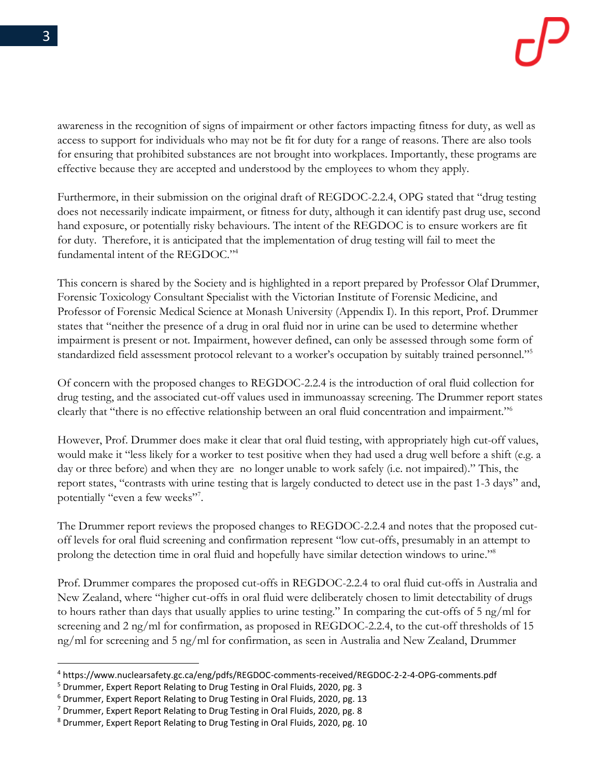awareness in the recognition of signs of impairment or other factors impacting fitness for duty, as well as access to support for individuals who may not be fit for duty for a range of reasons. There are also tools for ensuring that prohibited substances are not brought into workplaces. Importantly, these programs are effective because they are accepted and understood by the employees to whom they apply.

Furthermore, in their submission on the original draft of REGDOC-2.2.4, OPG stated that "drug testing does not necessarily indicate impairment, or fitness for duty, although it can identify past drug use, second hand exposure, or potentially risky behaviours. The intent of the REGDOC is to ensure workers are fit for duty. Therefore, it is anticipated that the implementation of drug testing will fail to meet the fundamental intent of the REGDOC." 4

This concern is shared by the Society and is highlighted in a report prepared by Professor Olaf Drummer, Forensic Toxicology Consultant Specialist with the Victorian Institute of Forensic Medicine, and Professor of Forensic Medical Science at Monash University (Appendix I). In this report, Prof. Drummer states that "neither the presence of a drug in oral fluid nor in urine can be used to determine whether impairment is present or not. Impairment, however defined, can only be assessed through some form of standardized field assessment protocol relevant to a worker's occupation by suitably trained personnel."<sup>5</sup>

Of concern with the proposed changes to REGDOC-2.2.4 is the introduction of oral fluid collection for drug testing, and the associated cut-off values used in immunoassay screening. The Drummer report states clearly that "there is no effective relationship between an oral fluid concentration and impairment."<sup>6</sup>

However, Prof. Drummer does make it clear that oral fluid testing, with appropriately high cut-off values, would make it "less likely for a worker to test positive when they had used a drug well before a shift (e.g. a day or three before) and when they are no longer unable to work safely (i.e. not impaired)." This, the report states, "contrasts with urine testing that is largely conducted to detect use in the past 1-3 days" and, potentially "even a few weeks"<sup>7</sup>.

The Drummer report reviews the proposed changes to REGDOC-2.2.4 and notes that the proposed cutoff levels for oral fluid screening and confirmation represent "low cut-offs, presumably in an attempt to prolong the detection time in oral fluid and hopefully have similar detection windows to urine."<sup>8</sup>

Prof. Drummer compares the proposed cut-offs in REGDOC-2.2.4 to oral fluid cut-offs in Australia and New Zealand, where "higher cut-offs in oral fluid were deliberately chosen to limit detectability of drugs to hours rather than days that usually applies to urine testing." In comparing the cut-offs of 5 ng/ml for screening and 2 ng/ml for confirmation, as proposed in REGDOC-2.2.4, to the cut-off thresholds of 15 ng/ml for screening and 5 ng/ml for confirmation, as seen in Australia and New Zealand, Drummer

<sup>4</sup> https://www.nuclearsafety.gc.ca/eng/pdfs/REGDOC-comments-received/REGDOC-2-2-4-OPG-comments.pdf

<sup>5</sup> Drummer, Expert Report Relating to Drug Testing in Oral Fluids, 2020, pg. 3

<sup>6</sup> Drummer, Expert Report Relating to Drug Testing in Oral Fluids, 2020, pg. 13

<sup>7</sup> Drummer, Expert Report Relating to Drug Testing in Oral Fluids, 2020, pg. 8

<sup>8</sup> Drummer, Expert Report Relating to Drug Testing in Oral Fluids, 2020, pg. 10